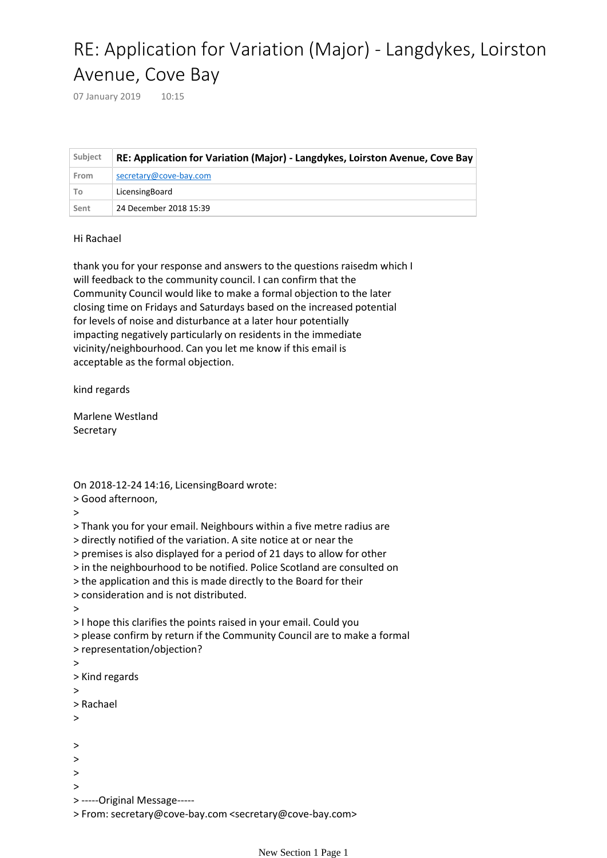## RE: Application for Variation (Major) - Langdykes, Loirston Avenue, Cove Bay

07 January 2019 10:15

| Subject | RE: Application for Variation (Major) - Langdykes, Loirston Avenue, Cove Bay |
|---------|------------------------------------------------------------------------------|
| From    | secretary@cove-bay.com                                                       |
| To      | LicensingBoard                                                               |
| Sent    | 24 December 2018 15:39                                                       |

## Hi Rachael

thank you for your response and answers to the questions raisedm which I will feedback to the community council. I can confirm that the Community Council would like to make a formal objection to the later closing time on Fridays and Saturdays based on the increased potential for levels of noise and disturbance at a later hour potentially impacting negatively particularly on residents in the immediate vicinity/neighbourhood. Can you let me know if this email is acceptable as the formal objection.

kind regards

Marlene Westland Secretary

On 2018-12-24 14:16, LicensingBoard wrote: > Good afternoon,

>

> Thank you for your email. Neighbours within a five metre radius are

> directly notified of the variation. A site notice at or near the

> premises is also displayed for a period of 21 days to allow for other

> in the neighbourhood to be notified. Police Scotland are consulted on

> the application and this is made directly to the Board for their

```
> consideration and is not distributed.
```
>

> I hope this clarifies the points raised in your email. Could you

> please confirm by return if the Community Council are to make a formal

- > representation/objection?
- >
- > Kind regards
- >

```
> Rachael
```
- >
- 

>

- >
- >
- >

> -----Original Message-----

> From: secretary@cove-bay.com <secretary@cove-bay.com>